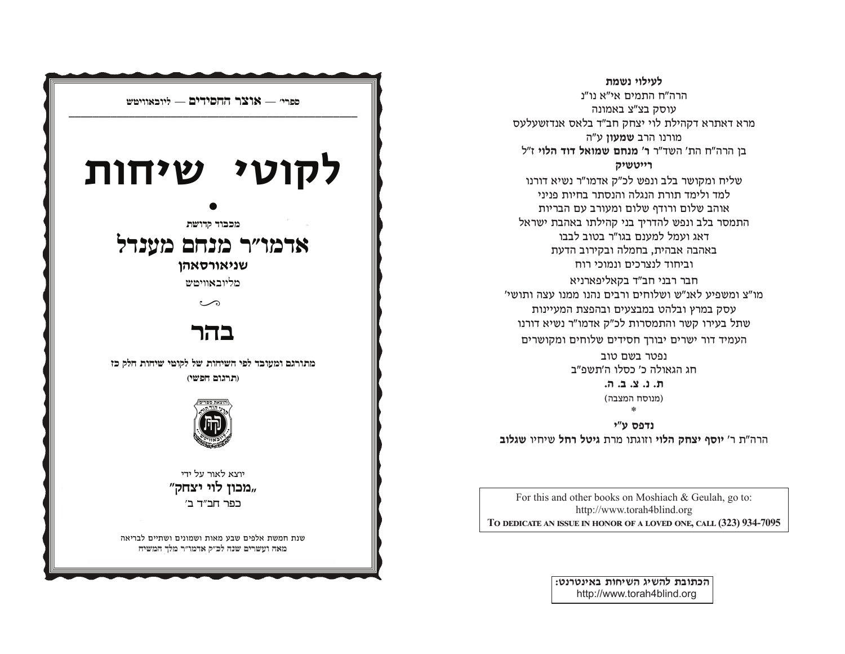

לעילוי נשמת הרה"ח התמים אי"א נו"נ עוסק בצ"צ באמונה מרא דאתרא דקהילת לוי יצחק חב"ד בלאס אנדזשעלעס מורנו הרב שמעוז ע"ה בן הרה"ח הת' השד"ר ר' מנחם שמואל דוד הלוי ז"ל רייטשיק שליח ומקושר בלב ונפש לכ"ק אדמו"ר נשיא דורנו למד ולימד תורת הנגלה והנסתר בחיות פניני אוהב שלום ורודף שלום ומעורב עם הבריות התמסר בלב ונפש להדריך בני קהילתו באהבת ישראל דאג ועמל למענם בגו"ר בטוב לבבו באהבה אבהית, בחמלה ובקירוב הדעת

וביחוד לנצרכים ונמוכי רוח חבר רבני חב"ד בקאליפארניא מו"צ ומשפיע לאנ"ש ושלוחים ורבים נהנו ממנו עצה ותושי' עסק במרץ ובלהט במבצעים ובהפצת המעיינות שתל בעירו קשר והתמסרות לכ"ק אדמו"ר נשיא דורנו העמיד דור ישרים יבורך חסידים שלוחים ומקושרים

ופטר בשם טוב חג הגאולה כ׳ כסלו ה׳תשפ״ב ת. נ. צ. ב. ה. (מנוסח המצבה) \*

נדפס ע"י הרה"ת ר' יוסף יצחק הלוי וזוגתו מרת גיטל רחל שיחיו שגלוב

For this and other books on Moshiach & Geulah, go to: http://www.torah4blind.org TO DEDICATE AN ISSUE IN HONOR OF A LOVED ONE, CALL (323) 934-7095

> הכתובת להשיג השיחות באינטרנט: http://www.torah4blind.org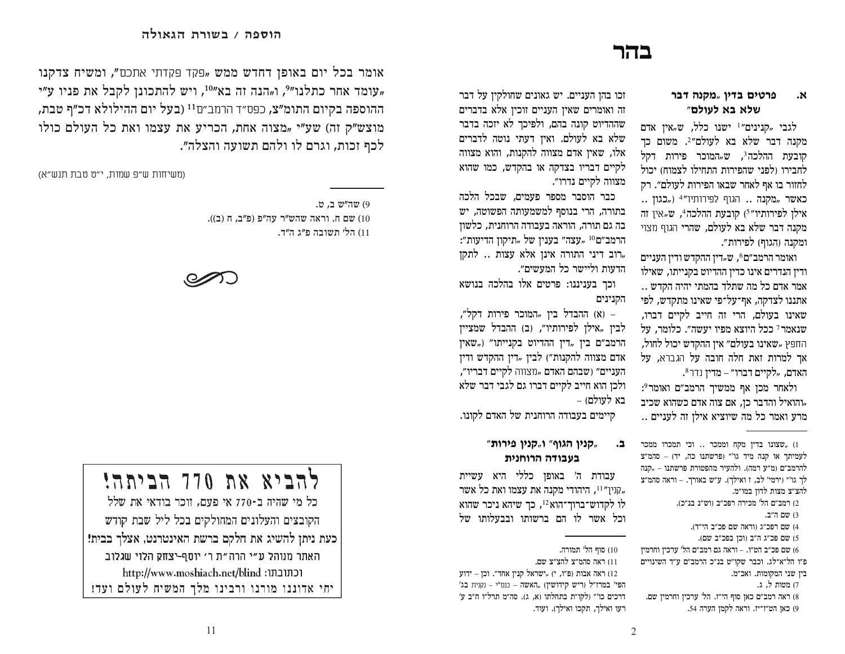### בהר

#### פרטים בדין "מקנה דבר ٦χ. שלא בא לעולם"

לגבי "קנינים"<sup>1</sup> ישנו כלל, ש"אין אדם מקנה דבר שלא בא לעולם״?. משום כך הובעת ההלכה<sup>3</sup>. ש<sub>יי</sub>המוכר פירות דקל לחבירו ולפני שהפירות התחילו לצמוח) יכול לחזור בו אף לאחר שבאו הפירות לעולם״. רק .. כאשר "מקנה" הגוף לפירותיו<sup>"4</sup> ("כגון" אילן לפירותיו"<sup>5</sup>) קובעת ההלכה<sup>4</sup>, ש<sub>"</sub>אין זה מקנה דבר שלא בא לעולם. שהרי הגוף מצוי ומקנה (הגוף) לפירות״.

ואומר הרמב"ם<sup>6</sup>, ש<sub>יי</sub>דין ההקדש ודין העניים ודין הנדרים אינו כדין ההדיוט בקנייתו, שאילו אמר אדם כל מה שתלד בהמתי יהיה הקדש.. אתננו לצדקה, אף־על־פי שאינו מתקדש, לפי שאינו בעולם, הרי זה חייב לקיים דברו, שנאמר 7 ככל היוצא מפיו יעשה". כלומר, על החפץ "שאינו בעולם" אין ההקדש יכול לחול, אר למרות זאת חלה חובה על הגברא, על האדם, "לקיים דברו״ – מדין נדר<sup>8</sup>.

ולאחר מכן אף ממשיך הרמב״ם ואומר°: "והואיל והדבר כז. אם צוה אדם כשהוא שכיב מרע ואמר כל מה שיוציא אילן זה לעניים ..

זכו בהן העניים. יש גאונים שחולקין על דבר זה ואומרים שאין העניים זוכין אלא בדברים שההדיוט קונה בהם, ולפיכך לא יזכה בדבר שלא בא לעולם. ואין דעתי נוטה לדברים אלו, שאין אדם מצווה להקנות, והוא מצווה לקיים דבריו בצדקה או בהקדש, כמו שהוא מצווה לקיים נדרו״.

כבר הוסבר מספר פעמים, שבכל הלכה בתורה, הרי בנוסף למשמעותה הפשוטה, יש בה גם תורה, הוראה בעבודה הרוחנית, כלשוז הרמב״ם<sup>10</sup> "עצה״ בענין של "תיקון הדיעות״: רוב דיני התורה אינן אלא עצות .. לתקו" הדעות וליישר כל המעשים״.

וכך בעניננו: פרטים אלו בהלכה בנושא הקנינים

– (א) ההבדל בין "המוכר פירות דקל", לבין "אילן לפירותיו", (ב) ההבדל שמציין הרמב"ם בין "דין ההדיוט בקנייתו" ("שאין אדם מצווה להקנות״) לבין "דין ההקדש ודין העניים״ (שבהם האדם "מצווה לקיים דבריו״, ולכן הוא חייב לקיים דברו גם לגבי דבר שלא בא לעולם) –

קיימים בעבודה הרוחנית של האדם לקונו.

#### ר אקנין הגוף" ו"קנין פירות", . 1 בעבודה הרוחנית

עבודת ה׳ באופן כללי היא עשיית קנין״<sup>11</sup>, היהודי מקנה את עצמו ואת כל אשר, לו לקדוש־ברוך־הוא12, כך שיהא ניכר שהוא וכל אשר לו הם ברשותו ובבעלותו של

10) סוף הל' תמורה.

11) ראה סהמ״צ להצ״צ שם.

ידוע (פ״ו, י) האה אבות ה', ול", וכן אחד". וכן אחר". וכן כאה אבות ה' הפי' במרז"ל (ריש קידושין) "האשה – כנס"י – נקנית בג' דרכים כו'" (לקו"ת בתחלתו (א, ג). סה"מ תרל"ו ח"ב ע' רעו ואילך, תקכו ואילך). ועוד.

אומר בכל יום באופן דחדש ממש "פקד פקדתי אתכם", ומשיח צדקנו "עומד אחר כתלנו"?, ו<sub>"</sub>הנה זה בא"<sup>10</sup>, ויש להתכונן לקבל את פניו ע"י ההוספה בקיום התומ"צ, כפס״ד הרמב״ם<sup>11</sup> (בעל יום ההילולא דכ״ף טבת, מוצש"ק זה) שע"י "מצוה אחת, הכריע את עצמו ואת כל העולם כולו לכף זכות, וגרם לו ולהם תשועה והצלה״.

(משיחות ש״פ שמות, י״ט טבת תנש״א)

9) שה"ש ב. ט. ים ח. וראה שהש"ר עה"פ (פ"ב, ח (ב)). שם ח. 11) הל׳ תשובה פ״ג ה״ד.



# להביא את 770 הביתה!

כל מי שהיה ב-770 אי פעם. זוכר בודאי את שלל הקובצים והעלונים המחולקים בכל ליל שבת קודש כעת ניתן להשיג את חלקם ברשת האינטרנט, אצלך בבית! | האתר מנוהל ע״י הרה״ת ר׳ יוסף-יצחק הלוי שגלוב http://www.moshiach.net/blind :וכתובתו יחי אדוננו מורנו ורבינו מלך המשיח לעולם ועד!

<sup>01 ,</sup>שצונו בדין מקח וממכר .. וכי תמכרו ממכר לעמיתך או קנה מיד גו'" (פרשתנו כה, יד) - סהמ"צ להרמב״ם (מ״ע רמה). ולהעיר מהפטורת פרשתנו – "קנה לך גו'" (ירמי' לב, ז ואילך). ע"ש באורך. - וראה סהמ"צ להצ״צ מצות לדון במו״מ.

<sup>2)</sup> רמב״ם הל׳ מכירה רפכ״ב (וש״נ בנ״כ).

<sup>3)</sup> שם ה״ב.

<sup>4)</sup> שם רפכ״ג (וראה שם פכ״ב הי״ד).

<sup>5)</sup> שם פכ"ג ה"ב (וכן בפכ"ב שם).

<sup>6)</sup> שם פכ״ב הט״ו. – וראה גם רמב״ם הל׳ ערכיז וחרמיז

פ״ו הל״א־לג. וכבר שקו״ט בנ״כ הרמב״ם ע״ד השינויים

בין שני המקומות. ואכ״מ.

<sup>7)</sup> מטות ל. ג.

<sup>8)</sup> ראה רמב"ם כאן סוף הי"ז. הל' ערכין וחרמין שם. 9) כאן הט"ו־יז. וראה לקמן הערה 54.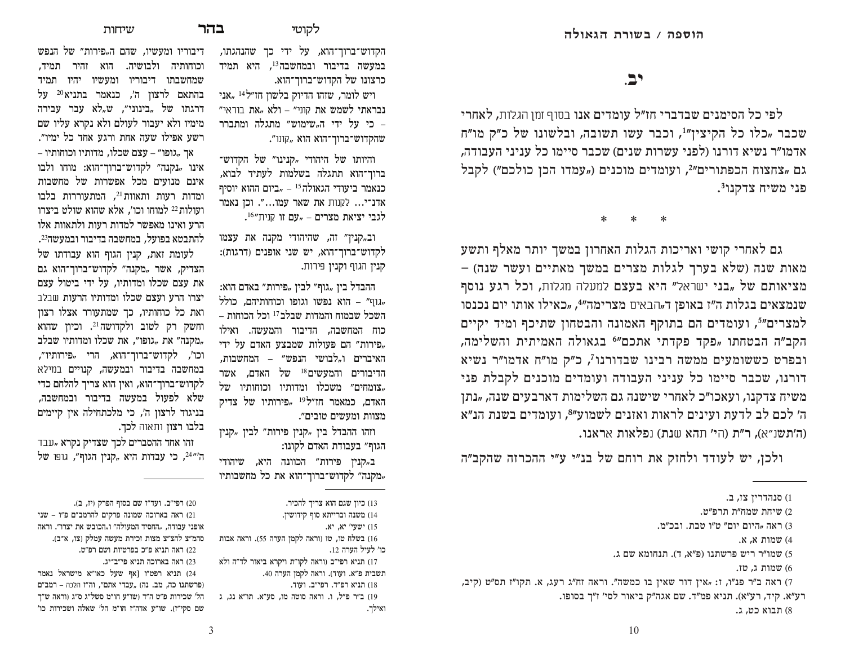דיבוריו ומעשיו, שהם ה<sub>"</sub>פירות" של ה<mark>נ</mark>פש וכוחותיה ולבושיה. הוא זהיר תמיד, שמחשבתו דיבוריו ומעשיו יהיו תמיד בהתאם לרצון ה׳, כנאמר בתניא<sup>20</sup> על דרגתו של "בינוני", ש"לא עבר עבירה מימיו ולא יעבור לעולם ולא נקרא עליו שם רשע אפילו שעה אחת ורגע אחד כל ימיו".  $-$  אך "גופו" – עצם שכלו, מדותיו וכוחותיו אינו "נקנה" לקדוש־ברוך־הוא: מוחו ולבו אינם מנועים מכל אפשרות של מחשבות ומדות רעות ותאוות<sup>21</sup>, המתעוררות בלבו ועולות<sup>22</sup> למוחו וכו׳, אלא שהוא שולט ביצרו הרע ואינו מאפשר למדות רעות ולתאוות אלו להתבטא בפועל. במחשבה בדיבור ובמעשה<sup>23</sup>.

לעומת זאת, קנין הגוף הוא עבודתו של הצדיק, אשר "מקנה" לקדוש־ברוך־הוא גם את עצם שכלו ומדותיו. על ידי ביטול עצם יצרו הרע ועצם שכלו ומדותיו הרעות שבלב ואת כל כוחותיו, כך שמתעורר אצלו רצון וחשק רק לטוב ולקדושה<sup>21</sup>. וכיון שהוא מקנה" את "גופו", את שכלו ומדותיו שבלב, וכו׳, לקדוש־ברוך־הוא, הרי "פירותיו״, במחשבה בדיבור ובמעשה, קנויים במילא לקדוש־ברוך־הוא, ואין הוא צריך להלחם כדי שלא לפעול במעשה בדיבור ובמחשבה. בניגוד לרצון ה׳, כי מלכתחילה אין קיימים בלבו רצון ותאוה לכך.

זהו אחד ההסברים לכך שצדיק נקרא "עבד ה'״24, כי עבדות היא "קנין הגוף״, גופו של הקדוש־ברוך־הוא, על ידי כך שהנהגתו, במעשה בדיבור ובמחשבה<sup>13</sup>, היא תמיד כרצונו של הקדוש־ברוך־הוא.

ויש לומר, שזהו הדיוק בלשון חז״ל $^{14}$ אני <mark>נבראתי לשמש את</mark> קוני״ – ולא <sub>"</sub>את בוראי" כי על ידי ה<sub>יי</sub>שימוש" מתגלה ומתברר <mark>-</mark> שהקדוש־ברוך־הוא הוא "קונו".

והיותו של היהודי "קנינו" של הקדוש־ ברוד־הוא תתגלה בשלמות לעתיד לבוא. כנאמר ביעודי הגאולה $^{\rm 5}$  – "ביום ההוא יוסיף אדנ־י... לקנות את שאר עמו...". וכז נאמר  $\mathcal{L}^{16}$ עם זו קנית מצרים שלגבי

וב"קנין" זה, שהיהודי מקנה את עצמו לקדוש־ברוך־הוא, יש שני אופנים (דרגות): קנין הגוף וקנין פירות.

ההבדל בין "גוף״ לבין "פירות״ באדם הוא:  $\mathcal{L}$ גוף" – הוא נפשו וגופו וכוחותיהם, כולל, השכל שבמוח והמדות שבלב $^{17}$  וכל הכוחות – כוח המחשבה, הדיבור והמעשה. ואילו פירות" הם פעולות שמבצע האדם על ידי, האיברים ו<sup>"</sup>לבושי הנפש" – המחשבות, הדיבורים והמעשים<sup>18</sup> של האדם, אשר  $\forall$ צומחים" משכלו ומדותיו וכוחותיו של האדם, כמאמר חז״ל<sup>19</sup> <sub>"</sub>פירותיו של צדיק מצוות ומעשים טובים״.

וזהו ההבדל בין "קנין פירות" לבין "קנין הגוף״ בעבודת האדם לקונו:

ב"קנין פירות״ הכוונה היא, שיהודי מקנה" לקדוש־ברוך־הוא את כל מחשבותיו. $_\sigma$ 

ואה תניא פ"כ בפרטיות ושם רפ"ט. <br/>  $\left( 22\right)$ ראה בארוכה תניא פי"ב־יג. (23 **hc/**

לפי כל הסימנים שבדברי חז״ל עומדים אנו בסוף זמן הגלות, לאחרי שכבר "כלו כל הקיצין"1, וכבר עשו תשובה, ובלשונו של כ"ק מו"ח אדמו״ר נשיא דורנו (לפני עשרות שנים) שכבר סיימו כל עניני העבודה, לם "צחצוח הכפתורים"2, ועומדים מוכנים ("עמדו הכן כולכם") לקבל  $\mathfrak{p}^3$ פני משיח צדקנו

\*    \*    \*

גם לאחרי קושי ואריכות הגלות האחרון במשך יותר מאלף ותשע האות שנה (שלא בערך לגלות מצרים במשך מאתיים ועשר שנה) מציאותם של "בני ישראל" היא בעצם למעלה מגלות, וכל רגע נוסף שנמצאים בגלות ה״ז באופן ד<sub>יי</sub>הבאים מצרימה״4, "כאילו אותו יום נכנסו למצרים"5, ועומדים הם בתוקף האמונה והבטחון שתיכף ומיד יקיים הקב"ה הבטחתו <sub>"</sub>פקד פקדתי אתכם"<sup>6</sup> בגאולה האמיתית והשלימה, ובפרט כששומעים ממשה רבינו שבדורנו<sup>ז</sup>, כ"ק מו"ח אדמו"ר נשיא דורנו, שכבר סיימו כל עניני העבודה ועומדים מוכנים לקבלת פני משיח צדקנו, ועאכו״כ לאחרי שישנה גם השלימות דארבעים שנה, "נתן ה' לכם לב לדעת ועינים לראות ואזנים לשמוע"<sup>8</sup>, ועומדים בשנת הנ"א (ה׳תשנ״א), ר״ת (הי׳ תהא שנת) נפלאות אראנו.

ולכן, יש לעודד ולחזק את רוחם של בנ״י ע״י ההכרזה שהקב״ה

<sup>13)</sup> כיון שגם הוא צריך להכיר.

<sup>14)</sup> משנה וברייתא סוף קידושין.

<sup>15)</sup> ישעי׳ יא, יא.

<sup>16)</sup> בשלח טו, טז (וראה לקמן הערה 55). וראה אבות כו׳ לעיל הערה 12.

תשבית פ״א. ועוד). וראה לקמן הערה 40.

<sup>18)</sup> תניא רפ"ד. רפי"ב. ועוד. 19) ב"ר פ"ל, ו. וראה סוטה מו, סע"א. תו"א נג, ג ואילך.

ופי"ב. ועד"ו שם בסוף הפרק (יז, ב).  $(20$ ראה בארוכה שמונה פרקים להרמב"ם פ"ו – שני  $(21$ אופני עבודה, "החסיד המעולה" ו<mark>"הכובש את יצרו". ורא</mark>ה סהמ״צ להצ״צ מצות זכירת מעשה עמלק (צו, א־ב).

<sup>17)</sup> תניא רפי״ב (וראה לקו״ת ויקרא ביאור לד״ה ולא

<sup>(24</sup> מניא רפט״ו [אף שעל כאו״א מישראל נאמר פרשתנו כה, מב. נה) "עבדי אתם", וה"ז הלכה – רמב"ם) הל' שכירות פ"ט ה"ד (שו"ע חו"מ סשל"ג ס"ג (וראה ש"ך שם סקי״ז). שו״ע אדה״ז חו״מ הל׳ שאלה ושכירות כו׳

םנהדרין צז, ב.  $(1)$ 

<sup>2)</sup> שיחת שמח"ת תרפ"ט.

ראה "היום יום" ט"ו טבת. ובכ"מ,

<sup>4)</sup> שמות א. א.

ל שמו"ר ריש פרשתנו (פ"א, ד). תנחומא שם ג

שמות $\zeta$ שמות טז.

ראה ב"ר פנ"ו, ז: "אין דור שאין בו כמשה". וראה זח"ג רעג, א. תקו"ז תס"ט (קיב,  $\tau$ רע״א. קיד, רע״א). תניא פמ״ד. שם אגה״ק ביאור לסי׳ ז״ך בסופו.

<sup>8)</sup> תבוא כט, ג.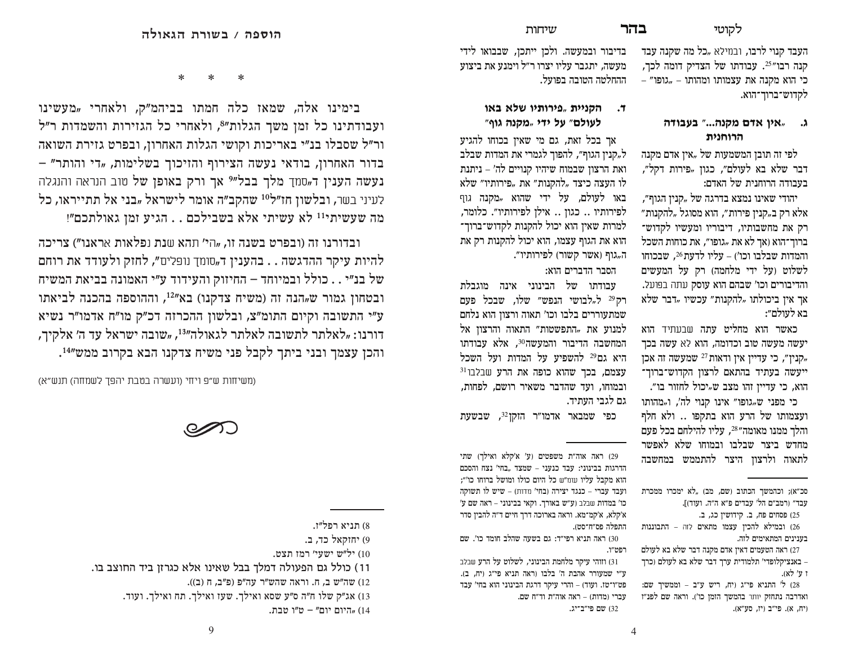בהר

העבד קנוי לרבו, ובמילא "כל מה שקנה עבד קנה רבו"<sup>25</sup>. עבודתו של הצדיק דומה לכך, כי הוא מקנה את עצמותו ומהותו – "גופו" – לקדוש־ברוך־הוא.

### ג. "אין אדם מקנה..." בעבודה הרוחנית

לפי זה תובן המשמעות של "אין אדם מקנה דבר שלא בא לעולם", כגון "פירות דקל", בעבודה הרוחנית של האדם:

יהודי שאינו נמצא בדרגה של "קנין הגוף״, אלא רק ב"קנין פירות", הוא מסוגל "להקנות" רק את מחשבותיו, דיבוריו ומעשיו לקדוש־ ברוך־הוא (אך לא את "גופו״, את כוחות השכל והמדות שבלבו וכו') – עליו לדעת 26, שבכוחו לשלוט (על ידי מלחמה) רק על המעשים והדיבורים וכו' שבהם הוא עוסק עתה בפועל. אך אין ביכולתו "להקנות" עכשיו "דבר שלא בא לעולם״:

כאשר הוא מחליט עתה שבעתיד הוא יעשה מעשה טוב וכדומה. הוא לא עשה בכד קנין", כי עדיין אין ודאות <sup>27</sup> שמעשה זה אכן, ייעשה בעתיד בהתאם לרצון הקדוש־ברוך־ הוא, כי עדיין זהו מצב ש"יכול לחזור בו".

כי מפני שµגופו״ אינו קנוי לה׳. וµמהותו ועצמותו של הרע הוא בתקפו .. ולא חלף והלך ממנו מאומה"<sup>28</sup>, עליו להילחם בכל פעם מחדש ביצר שבלבו ובמוחו שלא לאפשר לתאוה ולרצוז היצר להתממש במחשבה

סכ"א); וכהמשך הכתוב (שם, מב) "לא ימכרו ממכרת עבד״ (רמב״ם הל׳ עבדים פ״א ה״ה. ועוד)].

25) פסחים פח, ב. קידושין כג, ב. 26) ובמילא להכיו עצמו מתאים לזה – התבוננות בענינים המתאימים לזה.

27) ראה הטעמים דאיז אדם מקנה דבר שלא בא לעולם – באנציקלופדי' תלמודית ערד דבר שלא בא לעולם וכרד ו ע'לא).

28) ל' התניא פי"ג (יח, ריש ע"ב – וממשיך שם: ואדרבה נתחזק יותר בהמשך הזמן כו'). וראה שם לפנ"ז (יח, א). פי"ב (יז, סע"א).

בדיבור ובמעשה. ולכן ייתכן, שבבואו לידי מעשה, יתגבר עליו יצרו ר״ל וימנע את ביצוע ההחלטה הטובה בפועל.

שיחות

### ד. הקניית "פירותיו שלא באו לעולם" על ידי "מקנה גוף"

אך בכל זאת, גם מי שאין בכוחו להגיע ל"קנין הגוף״, להפוך לגמרי את המדות שבלב ואת הרצון שבמוח שיהיו קנויים לה׳ – ניתנת לו העצה כיצד "להקנות" את "פירותיו" שלא באו לעולם, על ידי שהוא *"*מקנה גוף לפירותיו .. כגון .. אילן לפירותיו״. כלומר, למרות שאין הוא יכול להקנות לקדוש־ברוך־ הוא את הגוף עצמו, הוא יכול להקנות רק את ה, גוף (אשר קשור) לפירותיו".

הסבר הדברים הוא:

עבודתו של הבינוני אינה מוגבלת רק<sup>29</sup> ל"לבושי הנפש" שלו, שבכל פעם שמתעוררים בלבו וכו' תאוה ורצוז הוא נלחם למנוע את "התפשטות" התאוה והרצון אל המחשבה הדיבור והמעשה<sup>30</sup>. אלא עבודתו היא גם29 להשפיע על המדות ועל השכל  $^{31}$ עצמם. בכר שהוא כופה את הרע שבלבו ובמוחו, ועד שהדבר משאיר רושם, לפחות, גם לגבי העתיד.

כפי שמבאר אדמו״ר הזקז<sup>32</sup>. שבשעת

29) ראה אוה"ת משפטים (ע' א'קלא ואילך) שתי הדרגות בבינוני: עבד כנעני - שמצד "בחי' נצח והסכם הוא מקבל עליו עונו״ש כל היום כולו ומושל ברוחו כו׳״; ועבד עברי - כנגד יצירה (בחי' מדות) - שיש לו תשוקה כו' במדות שבלב (ע"ש באורך. וקאי בבינוני - ראה שם ע' א׳קלֹא, א׳קמ־מא. וראה בארוכה דרך חיים ד״ה להבין סדר התפלה פס״ח־סט).

30) ראה תניא רפי״ד: גם בשעה שהלב חומד כו׳. שם רפמיין.

31) וזוהי עיקר מלחמת הבינוני, לשלוט על הרע שבלב ע״י שמעורר אהבת ה׳ בלבו (ראה תניא פי״ג (יח, ב). פט"ו־טו. ועוד) – והרי עיקר דרגת הבינוני הוא בחי' עבד עברי (מדות) – ראה אוה״ת וד״ח שם. 32) שם פי"ב־יג.

ماد

בימינו אלה, שמאז כלה חמתו בביהמ"ק, ולאחרי "מעשינו ועבודתינו כל זמן משך הגלות"<sup>8</sup>, ולאחרי כל הגזירות והשמדות ר"ל ור״ל שסבלו בנ״י באריכות וקושי הגלות האחרון, ובפרט גזירת השואה בדור האחרון, בודאי נעשה הצירוף והזיכוך בשלימות, "די והותר" – **נעשה הענין ד**"סמך מלך בבל"<sup>9</sup> אך ורק באופן של טוב הנראה והנגלה לעיני בשר, ובלשון חז״ל<sup>10</sup> שהקב״ה אומר לישראל "בני אל תתייראו, כל מה שעשיתי<sup>11</sup> לא עשיתי אלא בשבילכם . . הגיע זמן גאולתכם"!

ובדורנו זה (ובפרט בשנה זו, "הי' תהא שנת נפלאות אראנו") צריכה להיות עיקר ההדגשה . . בהענין ד<sub>יי</sub>סומך נופלים", לחזק ולעודד את רוחם של בנ״י . . כולל ובמיוחד – החיזוק והעידוד ע״י האמונה בביאת המשיח ובטחון גמור ש<sub>"</sub>הנה זה (משיח צדקנו) בא"<sup>12</sup>, וההוספה בהכנה לביאתו ע״י התשובה וקיום התומ״צ, ובלשון ההכרזה דכ״ק מו״ח אדמו״ר נשיא דורנו: "לאלתר לתשובה לאלתר לגאולה״<sup>13</sup>, "שובה ישראל עד ה׳ אלקיך, והכן עצמך ובני ביתך לקבל פני משיח צדקנו הבא בקרוב ממש"<sup>14</sup>.

(משיחות ש״פ ויחי (ועשרה בטבת יהפד לשמחה) תנש״א)



- 11) כולל גם הפעולה דמלך בבל שאינו אלא כגרזן ביד החוצב בו.
	- 12) שה״ש ב, ח. וראה שהש״ר עה״פ (פ״ב, ח (ב)).
	- 13) אג״ק שלו ח״ה ס״ע שסא ואילך. שעז ואילך. תח ואילך. ועוד.
		- 14) "היום יום" ט"ו טבת

<sup>8)</sup> תניא רפל״ז.

<sup>9)</sup> יחוקאל כד, ב.

<sup>10)</sup> יל"ש ישעי' רמז תצט.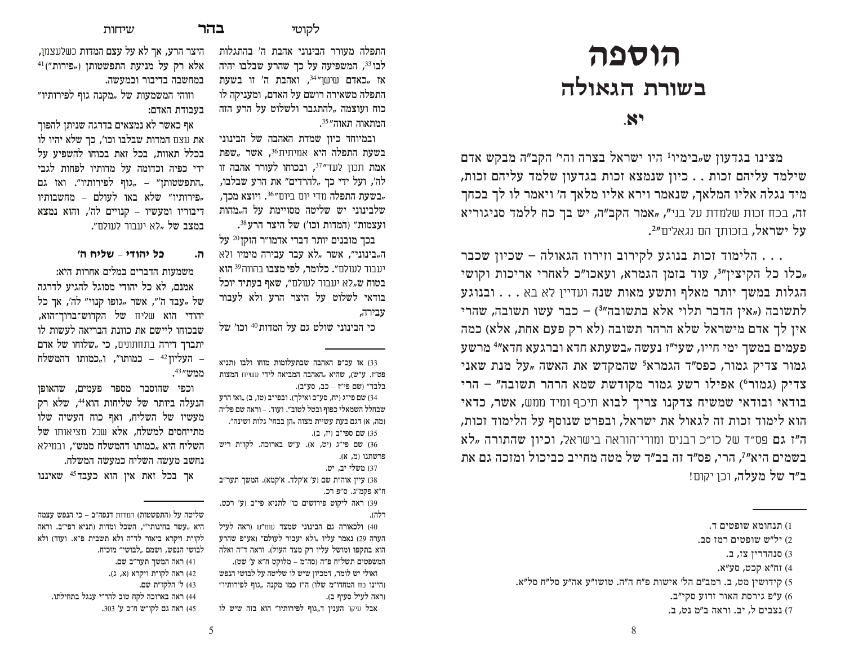# **תוספה** בשורת הגאולה

### **ht/**

מצינו בגדעון ש<sub>יי</sub>בימיו<sup>1</sup> היו ישראל בצרה והי' הקב"ה מבקש אדם שילמד עליהם זכות . . כיון שנמצא זכות בגדעון שלמד עליהם זכות, מיד נגלה אליו המלאך, שנאמר וירא אליו מלאך ה׳ ויאמר לו לך בכחך זה, בכח זכות שלמדת על בני", "אמר הקב"ה, יש בך כח ללמד סניגוריא על ישראל, בזכותך הם נגאלים״<del>?</del>.

הלימוד זכות בנוגע לקירוב וזירוז הגאולה – שכיון שכבר  $\dots$ כלו כל הקיצין"3, עוד בזמן הגמרא, ועאכו"כ לאחרי אריכות וקושי, הגלות במשך יותר מאלף ותשע מאות שנה ועדיין לא בא . . . ובנוגע לתשובה ("אין הדבר תלוי אלא בתשובה"3) – כבר עשו תשובה, שהרי אין לך אדם מישראל שלא הרהר תשובה (לא רק פעם אחת, אלא) כמה  $\,$  פעמים במשך ימי חייו, שעי״ו נעשה "בשעתא חדא וברגעא חדא״ $\,$  מרשע גמור צדיק גמור, כפס״ד הגמרא<sup>5</sup> שהמקדש את האשה "על מנת שאני  $\sigma$ צדיק (גמור $^{\circ}$ ) אפילו רשע גמור מקודשת שמא הרהר תשובה" – הרי בודאי ובודאי שמשיח צדקנו צריך לבוא תיכף ומיד ממש, אשר, כדאי הוא לימוד זכות זה לגאול את ישראל, ובפרט שנוסף על הלימוד זכות,  $\kappa$ ה"ו גם פס״ד של כו״כ רבנים ומורי־הוראה בישראל, וכיון שהתורה  $\kappa$ א בשמים היא״<sup>7</sup>. הרי, פס״ד זה בב״ד של מטה מחייב כביכול ומזכה גם את ! ב״ד של מעלה. וכו יקוח!

**ל**קוטי **בהר** 

התפלה מעורר הבינוני אהבת ה׳ בהתגלות לבו <sup>33</sup>, המשפיעה על כך שהרע שבלבו יהיה אז "כאדם שישן $\mathbb{P}^{34}$ ", ואהבת ה $\ell$  זו בשעת התפלה משאירה רושם על האדם, ומעניקה לו כוח ועוצמה "להתגבר ולשלוט על הרע ה<mark>זה</mark>

ובמיוחד כיון שמדת האהבה של הבינוני בשעת התפלה היא אמיתית<sup>36</sup>, אשר *"*שפת אמת תכון לעד"<sup>37</sup>, ובכוחו לעורר אהבה זו לה', ועל ידי כך "להרדים״ את הרע שבלבו, בשעת התפלה מדי יום ביום"<sup>36</sup>. ו<mark>יוצא מכך</mark>, שלבינוני יש שליטה מסויימת על ה<sub>"</sub>מהות ועצמות" (המדות וכו') של היצר הרע<sup>38</sup>.  $^{20}$ בכך מובנים יותר דברי אדמו״ר הזקן ה"בינוני", אשר "לא עבר עבירה מימיו ולא יעבור לעולם**״. כלומר, לפי מצבו** בהווה<sup>39</sup> **הוא** בטוח ש<sub>״</sub>לא יעבור לעולם״, <mark>שאף בעתיד יוכל</mark> בודאי לשלוט על היצר הרע ולא לעבור

כי הבינוני שולט גם על המדות™ וכו′ של

או עכ״פ האהבה שבתעלומות מוחו ולבו (תניא S3 מט"ז. ע"ש), שהיא "האהבה המביאה לידי עשיית <mark>המצות</mark>

שם פי״ג (יח, סע״ב ואילך). ובפי״ב (טז, ב) "ואז הרע  $(34$ שבחלל השמאלי כפוף ובטל לטוב". ועוד. – וראה שם פל"ה (מה, א) דגם בעת עשיית מצוה "הן בבחי' גלות ושינה".

שם פי"ג (יט, א). ע"ש בארוכה, לקו"ת ריש  $\,$ 

38) עיין אוה״ת שם (ע׳ א׳קלד. א׳קמא). המשך תער״ב

99) ראה ליקוט פירושים כו׳ לתניא פי״ב (ע׳ רכט.

ולכאורה גם הבינוני שמצד עונו״ש (ראה לעיל  $(40$ הערה 29) נאמר עליו "ולא יעבור לעולם" (אע"פ שהרע הוא בתקפו ומושל עליו רק מצד העול). וראה ד״ה ואלה המשפטים תשל״ח פ״ה (סה״מ – מלוקט ח״א ע׳ שט). ואולי יש לומר, דמכיון שיש לו שליטה על לבושי הנפש (היינו כח המחדו"מ שלו) ה"ז כמו מקנה "גוף לפירותיו"

אבל עיקר הענין ד<sub>יי</sub>גוף לפירותיו״ הוא בזה שיש לו

בלבד״ (שם פי״ז – כב, סע״ב).

35) שם ספי"ב (יז. ב).

 $(8, 8)$  פרשתנו 37) משלי יב. יט.

רלה).

ח"א פקמ"ג. ס"פ רכ.

וראה לעיל סעיף ב).

המתאוה תאוה" <sup>35</sup>.

טבירה.

שיחות

היצר הרע, אך לא על עצם המדות כשלעצמן,  $^{41}$ ("פירות, "Ag אלא רק על מניעת התפשטותן במחשבה בדיבור ובמעשה.

וזוהי המשמעות של <sub>"</sub>מקנה גוף לפירותיו" בעבודת האדם:

אף כאשר לא נמצאים בדרגה שניתז להפוד את עצם המדות שבלבו וכו׳, כך שלא יהיו לו בכלל תאוות, בכל זאת בכוחו להשפיע על ידי כפיה וכדומה על מדותיו לפחות לגבי התפשטותן" – <sub>"</sub>גוף לפירותיו". ואז גם" פירותיו" שלא באו לעולם – מחשבותיו, דיבוריו ומעשיו – קנויים לה׳, והוא נמצא <mark>במצב של "</mark>לא יעבור לעולם<mark>".</mark>

### ה. כל יהודי – שליח ה׳

משמעות הדברים במלים אחרות היא:

אמנם, לא כל יהודי מסוגל להגיע לדרגה של "עבד ה'״, אשר "גופו קנוי״ לה', אך כל יהודי הוא שליח של הקדוש־ברור־הוא. שבכוחו ליישם את כוונת הבריאה לעשות לו יתברך דירה בתחתונים, כי "שלוחו של אדם העליון <sup>42</sup> – כמותו״, ו<sub>״</sub>כמותו דהמשלח ממש״<sup>43</sup>.

וכפי שהוסבר מספר פעמים*,* שהאופז הנעלה ביותר של שליחות הוא<sup>44</sup>, שלא רק מעשיו של השליח, ואף כוח העשיה שלו מתייחסים למשלח, אלא שכל מציאותו של השליח היא "כמותו דהמשלח ממש", ובמילא נחשב מעשה השליח כמעשה המשלח.

אך בכל זאת אין הוא כעבד<sup>45</sup> שאיננו

<sup>1)</sup> תנחומא שופטים ד.

ל"ש שופטים רמז סב.  $\gamma$ 

<sup>5)</sup> סנהדרין צז, ב.

<sup>4)</sup> זח"א קכט, סע"א.

הידושין מט, ב. רמב״ם הל׳ אישות פ״ח ה״ה. טושו״ע אה״ע סל״ח סל״א.

ע"פ גירסת האור זרוע סקי"ב.  $(6)$ 

<sup>7)</sup> נצבים ל. יב. וראה ב״מ נט. ב.

 $\mathbf w$ שליטה על (התפשטות) המדות דנפה״ב – כי הנפש היא "עשר בחינותי", השכל ומדות (תניא רפי"ב. וראה לקו״ת ויקרא ביאור לד״ה ולא תשבית פ״א. ועוד) ולא לבושי הנפש, ושמם "לבושי״ מוכיח<mark>.</mark>

ראה המשר תער״ב שם. 42) ראה לקו״ת ויקרא (א, ג). 43) ל׳ הלקו״ת שם. 44) ראה בארוכה לקח טוב להר״י ענגל בתחילתו. 45) ראה גם לקו״ש ח״כ ע׳ 303.